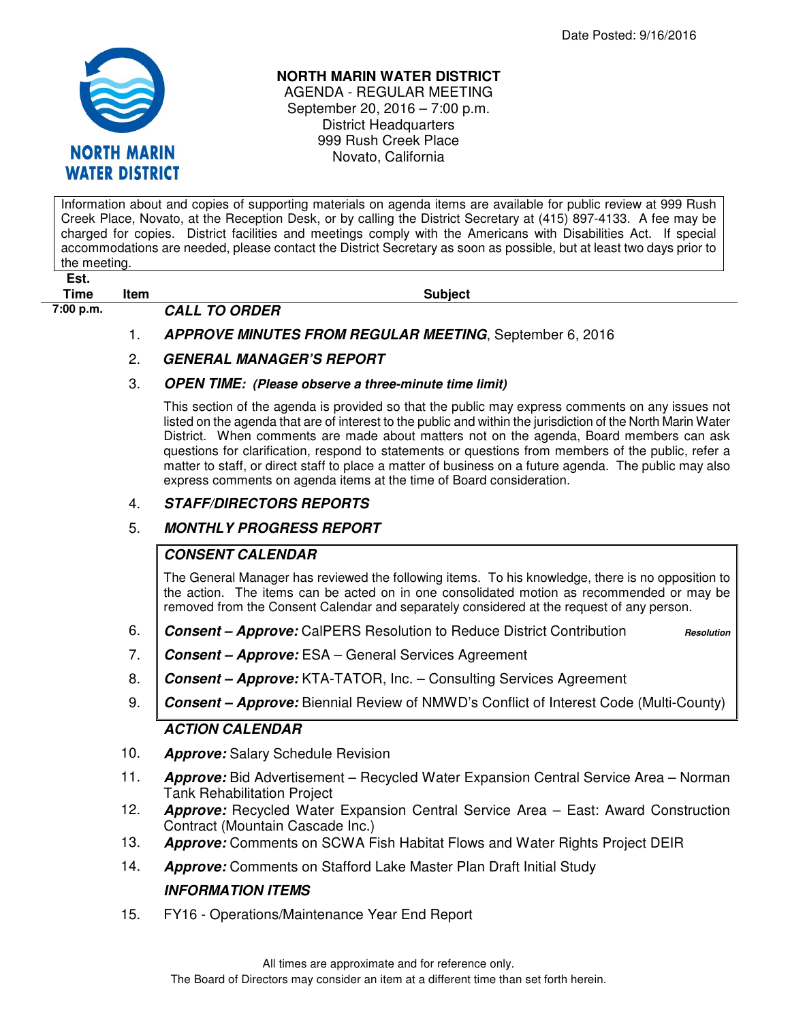

#### **NORTH MARIN WATER DISTRICT**

AGENDA - REGULAR MEETING September 20, 2016 – 7:00 p.m. District Headquarters 999 Rush Creek Place Novato, California

Information about and copies of supporting materials on agenda items are available for public review at 999 Rush Creek Place, Novato, at the Reception Desk, or by calling the District Secretary at (415) 897-4133. A fee may be charged for copies. District facilities and meetings comply with the Americans with Disabilities Act. If special accommodations are needed, please contact the District Secretary as soon as possible, but at least two days prior to the meeting.

**Est.** 

**Time** Item **Subject Subject 7:00 p.m. CALL TO ORDER** 

1. **APPROVE MINUTES FROM REGULAR MEETING**, September 6, 2016

# 2. **GENERAL MANAGER'S REPORT**

#### 3. **OPEN TIME: (Please observe a three-minute time limit)**

This section of the agenda is provided so that the public may express comments on any issues not listed on the agenda that are of interest to the public and within the jurisdiction of the North Marin Water District. When comments are made about matters not on the agenda, Board members can ask questions for clarification, respond to statements or questions from members of the public, refer a matter to staff, or direct staff to place a matter of business on a future agenda. The public may also express comments on agenda items at the time of Board consideration.

## 4. **STAFF/DIRECTORS REPORTS**

## 5. **MONTHLY PROGRESS REPORT**

## **CONSENT CALENDAR**

The General Manager has reviewed the following items. To his knowledge, there is no opposition to the action. The items can be acted on in one consolidated motion as recommended or may be removed from the Consent Calendar and separately considered at the request of any person.

6. Consent – Approve: CalPERS Resolution to Reduce District Contribution **Resolution** 

- 7. **Consent Approve:** ESA General Services Agreement
- 8. **Consent Approve:** KTA-TATOR, Inc. Consulting Services Agreement
- 9. **Consent Approve:** Biennial Review of NMWD's Conflict of Interest Code (Multi-County) **ACTION CALENDAR**

- 10. **Approve:** Salary Schedule Revision
- 11. **Approve:** Bid Advertisement Recycled Water Expansion Central Service Area Norman Tank Rehabilitation Project
- 12. **Approve:** Recycled Water Expansion Central Service Area East: Award Construction Contract (Mountain Cascade Inc.)
- 13. **Approve:** Comments on SCWA Fish Habitat Flows and Water Rights Project DEIR
- 14. **Approve:** Comments on Stafford Lake Master Plan Draft Initial Study

# **INFORMATION ITEMS**

15. FY16 - Operations/Maintenance Year End Report